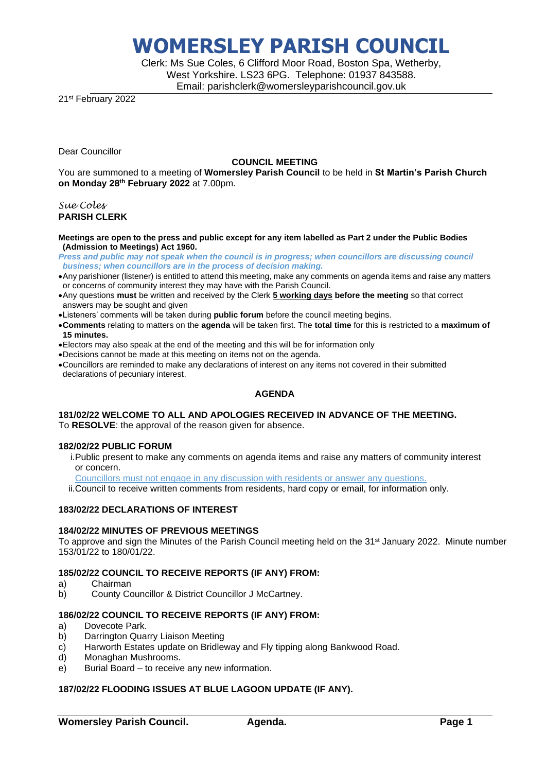Clerk: Ms Sue Coles, 6 Clifford Moor Road, Boston Spa, Wetherby, West Yorkshire. LS23 6PG. Telephone: 01937 843588. Email: parishclerk@womersleyparishcouncil.gov.uk

21st February 2022

Dear Councillor

### **COUNCIL MEETING**

You are summoned to a meeting of **Womersley Parish Council** to be held in **St Martin's Parish Church on Monday 28th February 2022** at 7.00pm.

### *Sue Coles* **PARISH CLERK**

#### **Meetings are open to the press and public except for any item labelled as Part 2 under the Public Bodies (Admission to Meetings) Act 1960.**

- *Press and public may not speak when the council is in progress; when councillors are discussing council business; when councillors are in the process of decision making.*
- •Any parishioner (listener) is entitled to attend this meeting, make any comments on agenda items and raise any matters or concerns of community interest they may have with the Parish Council.
- •Any questions **must** be written and received by the Clerk **5 working days before the meeting** so that correct answers may be sought and given
- •Listeners' comments will be taken during **public forum** before the council meeting begins.
- •**Comments** relating to matters on the **agenda** will be taken first. The **total time** for this is restricted to a **maximum of 15 minutes.**
- •Electors may also speak at the end of the meeting and this will be for information only
- •Decisions cannot be made at this meeting on items not on the agenda.
- •Councillors are reminded to make any declarations of interest on any items not covered in their submitted declarations of pecuniary interest.

### **AGENDA**

### **181/02/22 WELCOME TO ALL AND APOLOGIES RECEIVED IN ADVANCE OF THE MEETING.**

To **RESOLVE**: the approval of the reason given for absence.

### **182/02/22 PUBLIC FORUM**

i.Public present to make any comments on agenda items and raise any matters of community interest or concern.

Councillors must not engage in any discussion with residents or answer any questions.

ii.Council to receive written comments from residents, hard copy or email, for information only.

### **183/02/22 DECLARATIONS OF INTEREST**

### **184/02/22 MINUTES OF PREVIOUS MEETINGS**

To approve and sign the Minutes of the Parish Council meeting held on the 31<sup>st</sup> January 2022. Minute number 153/01/22 to 180/01/22.

### **185/02/22 COUNCIL TO RECEIVE REPORTS (IF ANY) FROM:**

- a) Chairman
- b) County Councillor & District Councillor J McCartney.

### **186/02/22 COUNCIL TO RECEIVE REPORTS (IF ANY) FROM:**

- a) Dovecote Park.
- b) Darrington Quarry Liaison Meeting
- c) Harworth Estates update on Bridleway and Fly tipping along Bankwood Road.
- d) Monaghan Mushrooms.
- e) Burial Board to receive any new information.

### **187/02/22 FLOODING ISSUES AT BLUE LAGOON UPDATE (IF ANY).**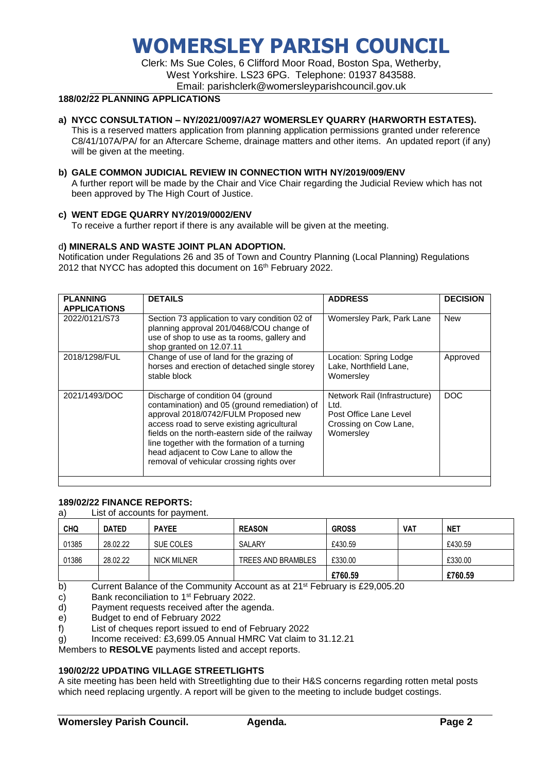Clerk: Ms Sue Coles, 6 Clifford Moor Road, Boston Spa, Wetherby, West Yorkshire. LS23 6PG. Telephone: 01937 843588. Email: parishclerk@womersleyparishcouncil.gov.uk

### **188/02/22 PLANNING APPLICATIONS**

### **a) NYCC CONSULTATION – NY/2021/0097/A27 WOMERSLEY QUARRY (HARWORTH ESTATES).**

This is a reserved matters application from planning application permissions granted under reference C8/41/107A/PA/ for an Aftercare Scheme, drainage matters and other items. An updated report (if any) will be given at the meeting.

### **b) GALE COMMON JUDICIAL REVIEW IN CONNECTION WITH NY/2019/009/ENV**

A further report will be made by the Chair and Vice Chair regarding the Judicial Review which has not been approved by The High Court of Justice.

### **c) WENT EDGE QUARRY NY/2019/0002/ENV**

To receive a further report if there is any available will be given at the meeting.

### d**) MINERALS AND WASTE JOINT PLAN ADOPTION.**

Notification under Regulations 26 and 35 of Town and Country Planning (Local Planning) Regulations 2012 that NYCC has adopted this document on 16<sup>th</sup> February 2022.

| <b>PLANNING</b><br><b>APPLICATIONS</b> | <b>DETAILS</b>                                                                                                                                                                                                                                                                                                                                                      | <b>ADDRESS</b>                                                                                        | <b>DECISION</b> |
|----------------------------------------|---------------------------------------------------------------------------------------------------------------------------------------------------------------------------------------------------------------------------------------------------------------------------------------------------------------------------------------------------------------------|-------------------------------------------------------------------------------------------------------|-----------------|
| 2022/0121/S73                          | Section 73 application to vary condition 02 of<br>planning approval 201/0468/COU change of<br>use of shop to use as ta rooms, gallery and<br>shop granted on 12.07.11                                                                                                                                                                                               | Womersley Park, Park Lane                                                                             | <b>New</b>      |
| 2018/1298/FUL                          | Change of use of land for the grazing of<br>horses and erection of detached single storey<br>stable block                                                                                                                                                                                                                                                           | Location: Spring Lodge<br>Lake, Northfield Lane,<br>Womersley                                         | Approved        |
| 2021/1493/DOC                          | Discharge of condition 04 (ground<br>contamination) and 05 (ground remediation) of<br>approval 2018/0742/FULM Proposed new<br>access road to serve existing agricultural<br>fields on the north-eastern side of the railway<br>line together with the formation of a turning<br>head adjacent to Cow Lane to allow the<br>removal of vehicular crossing rights over | Network Rail (Infrastructure)<br>Ltd.<br>Post Office Lane Level<br>Crossing on Cow Lane,<br>Womersley | <b>DOC</b>      |

### **189/02/22 FINANCE REPORTS:**

a) List of accounts for payment.

| <b>CHQ</b> | <b>DATED</b> | <b>PAYEE</b>       | <b>REASON</b>      | <b>GROSS</b> | VAT | <b>NET</b> |
|------------|--------------|--------------------|--------------------|--------------|-----|------------|
| 01385      | 28.02.22     | SUE COLES          | SALARY             | £430.59      |     | £430.59    |
| 01386      | 28.02.22     | <b>NICK MILNER</b> | TREES AND BRAMBLES | £330.00      |     | £330.00    |
|            |              |                    |                    | £760.59      |     | £760.59    |

b) Current Balance of the Community Account as at  $21^{st}$  February is £29,005.20

c) Bank reconciliation to 1<sup>st</sup> February 2022.

d) Payment requests received after the agenda.

e) Budget to end of February 2022

f) List of cheques report issued to end of February 2022

 $g$ ) Income received: £3,699.05 Annual HMRC Vat claim to 31.12.21

Members to **RESOLVE** payments listed and accept reports.

### **190/02/22 UPDATING VILLAGE STREETLIGHTS**

A site meeting has been held with Streetlighting due to their H&S concerns regarding rotten metal posts which need replacing urgently. A report will be given to the meeting to include budget costings.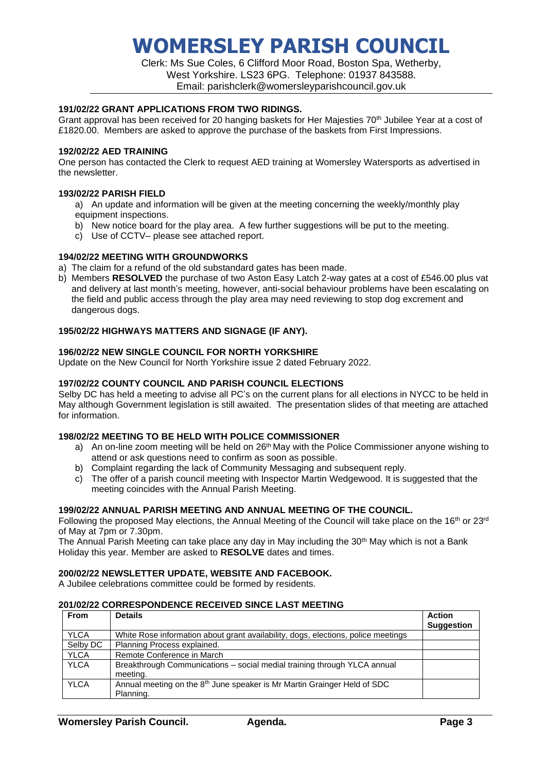Clerk: Ms Sue Coles, 6 Clifford Moor Road, Boston Spa, Wetherby, West Yorkshire. LS23 6PG. Telephone: 01937 843588. Email: parishclerk@womersleyparishcouncil.gov.uk

### **191/02/22 GRANT APPLICATIONS FROM TWO RIDINGS.**

Grant approval has been received for 20 hanging baskets for Her Majesties 70<sup>th</sup> Jubilee Year at a cost of £1820.00. Members are asked to approve the purchase of the baskets from First Impressions.

### **192/02/22 AED TRAINING**

One person has contacted the Clerk to request AED training at Womersley Watersports as advertised in the newsletter.

### **193/02/22 PARISH FIELD**

- a) An update and information will be given at the meeting concerning the weekly/monthly play equipment inspections.
- b) New notice board for the play area. A few further suggestions will be put to the meeting.
- c) Use of CCTV– please see attached report.

### **194/02/22 MEETING WITH GROUNDWORKS**

- a) The claim for a refund of the old substandard gates has been made.
- b) Members **RESOLVED** the purchase of two Aston Easy Latch 2-way gates at a cost of £546.00 plus vat and delivery at last month's meeting, however, anti-social behaviour problems have been escalating on the field and public access through the play area may need reviewing to stop dog excrement and dangerous dogs.

### **195/02/22 HIGHWAYS MATTERS AND SIGNAGE (IF ANY).**

### **196/02/22 NEW SINGLE COUNCIL FOR NORTH YORKSHIRE**

Update on the New Council for North Yorkshire issue 2 dated February 2022.

### **197/02/22 COUNTY COUNCIL AND PARISH COUNCIL ELECTIONS**

Selby DC has held a meeting to advise all PC's on the current plans for all elections in NYCC to be held in May although Government legislation is still awaited. The presentation slides of that meeting are attached for information.

### **198/02/22 MEETING TO BE HELD WITH POLICE COMMISSIONER**

- a) An on-line zoom meeting will be held on  $26<sup>th</sup>$  May with the Police Commissioner anyone wishing to attend or ask questions need to confirm as soon as possible.
- b) Complaint regarding the lack of Community Messaging and subsequent reply.
- c) The offer of a parish council meeting with Inspector Martin Wedgewood. It is suggested that the meeting coincides with the Annual Parish Meeting.

### **199/02/22 ANNUAL PARISH MEETING AND ANNUAL MEETING OF THE COUNCIL.**

Following the proposed May elections, the Annual Meeting of the Council will take place on the 16<sup>th</sup> or 23<sup>rd</sup> of May at 7pm or 7.30pm.

The Annual Parish Meeting can take place any day in May including the 30<sup>th</sup> May which is not a Bank Holiday this year. Member are asked to **RESOLVE** dates and times.

### **200/02/22 NEWSLETTER UPDATE, WEBSITE AND FACEBOOK.**

A Jubilee celebrations committee could be formed by residents.

### **201/02/22 CORRESPONDENCE RECEIVED SINCE LAST MEETING**

| <b>From</b> | <b>Details</b>                                                                                    | <b>Action</b><br><b>Suggestion</b> |
|-------------|---------------------------------------------------------------------------------------------------|------------------------------------|
| <b>YLCA</b> | White Rose information about grant availability, dogs, elections, police meetings                 |                                    |
| Selby DC    | Planning Process explained.                                                                       |                                    |
| <b>YLCA</b> | Remote Conference in March                                                                        |                                    |
| <b>YLCA</b> | Breakthrough Communications - social medial training through YLCA annual<br>meeting.              |                                    |
| <b>YLCA</b> | Annual meeting on the 8 <sup>th</sup> June speaker is Mr Martin Grainger Held of SDC<br>Planning. |                                    |